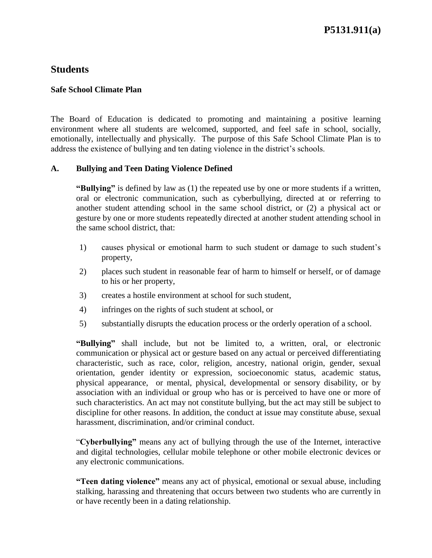#### **Safe School Climate Plan**

 The Board of Education is dedicated to promoting and maintaining a positive learning environment where all students are welcomed, supported, and feel safe in school, socially, emotionally, intellectually and physically. The purpose of this Safe School Climate Plan is to address the existence of bullying and ten dating violence in the district's schools.

## **A. Bullying and Teen Dating Violence Defined**

 **"Bullying"** is defined by law as (1) the repeated use by one or more students if a written, another student attending school in the same school district, or (2) a physical act or gesture by one or more students repeatedly directed at another student attending school in oral or electronic communication, such as cyberbullying, directed at or referring to the same school district, that:

- 1) causes physical or emotional harm to such student or damage to such student's property,
- 2) places such student in reasonable fear of harm to himself or herself, or of damage to his or her property,
- 3) creates a hostile environment at school for such student,
- 4) infringes on the rights of such student at school, or
- 5) substantially disrupts the education process or the orderly operation of a school.

 physical appearance, or mental, physical, developmental or sensory disability, or by association with an individual or group who has or is perceived to have one or more of such characteristics. An act may not constitute bullying, but the act may still be subject to discipline for other reasons. In addition, the conduct at issue may constitute abuse, sexual **"Bullying"** shall include, but not be limited to, a written, oral, or electronic communication or physical act or gesture based on any actual or perceived differentiating characteristic, such as race, color, religion, ancestry, national origin, gender, sexual orientation, gender identity or expression, socioeconomic status, academic status, harassment, discrimination, and/or criminal conduct.

 "**Cyberbullying"** means any act of bullying through the use of the Internet, interactive and digital technologies, cellular mobile telephone or other mobile electronic devices or any electronic communications.

 stalking, harassing and threatening that occurs between two students who are currently in **"Teen dating violence"** means any act of physical, emotional or sexual abuse, including or have recently been in a dating relationship.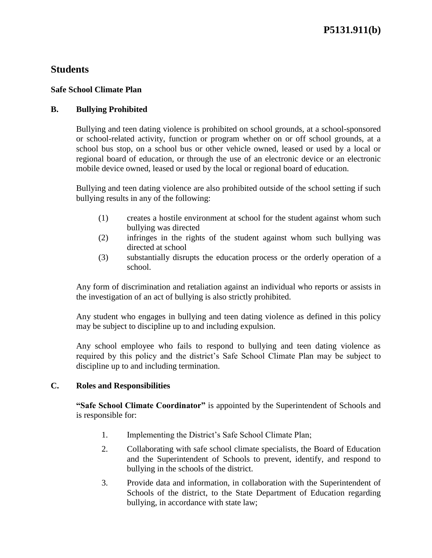#### **Safe School Climate Plan**

#### **B. Bullying Prohibited**

 or school-related activity, function or program whether on or off school grounds, at a school bus stop, on a school bus or other vehicle owned, leased or used by a local or regional board of education, or through the use of an electronic device or an electronic Bullying and teen dating violence is prohibited on school grounds, at a school-sponsored mobile device owned, leased or used by the local or regional board of education.

 Bullying and teen dating violence are also prohibited outside of the school setting if such bullying results in any of the following:

- (1) creates a hostile environment at school for the student against whom such bullying was directed
- (2) infringes in the rights of the student against whom such bullying was directed at school
- (3) substantially disrupts the education process or the orderly operation of a school.

 Any form of discrimination and retaliation against an individual who reports or assists in the investigation of an act of bullying is also strictly prohibited.

 Any student who engages in bullying and teen dating violence as defined in this policy may be subject to discipline up to and including expulsion.

 Any school employee who fails to respond to bullying and teen dating violence as required by this policy and the district's Safe School Climate Plan may be subject to discipline up to and including termination.

## **C. Roles and Responsibilities**

 **"Safe School Climate Coordinator"** is appointed by the Superintendent of Schools and is responsible for:

- 1. Implementing the District's Safe School Climate Plan;
- 2. Collaborating with safe school climate specialists, the Board of Education and the Superintendent of Schools to prevent, identify, and respond to bullying in the schools of the district.
- 3. Provide data and information, in collaboration with the Superintendent of Schools of the district, to the State Department of Education regarding bullying, in accordance with state law;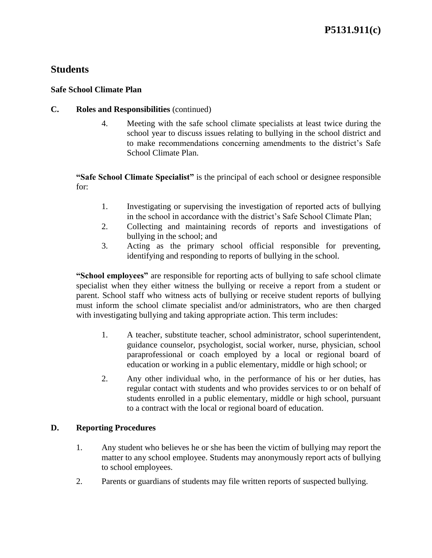#### **Safe School Climate Plan**

#### **C. Roles and Responsibilities** (continued)

 4. Meeting with the safe school climate specialists at least twice during the school year to discuss issues relating to bullying in the school district and to make recommendations concerning amendments to the district's Safe School Climate Plan.

**"Safe School Climate Specialist"** is the principal of each school or designee responsible for:

- 1. Investigating or supervising the investigation of reported acts of bullying in the school in accordance with the district's Safe School Climate Plan;
- 2. Collecting and maintaining records of reports and investigations of bullying in the school; and
- 3. Acting as the primary school official responsible for preventing, identifying and responding to reports of bullying in the school.

 **"School employees"** are responsible for reporting acts of bullying to safe school climate specialist when they either witness the bullying or receive a report from a student or must inform the school climate specialist and/or administrators, who are then charged parent. School staff who witness acts of bullying or receive student reports of bullying with investigating bullying and taking appropriate action. This term includes:

- paraprofessional or coach employed by a local or regional board of 1. A teacher, substitute teacher, school administrator, school superintendent, guidance counselor, psychologist, social worker, nurse, physician, school education or working in a public elementary, middle or high school; or
- students enrolled in a public elementary, middle or high school, pursuant 2. Any other individual who, in the performance of his or her duties, has regular contact with students and who provides services to or on behalf of to a contract with the local or regional board of education.

## **D. Reporting Procedures**

- 1. Any student who believes he or she has been the victim of bullying may report the matter to any school employee. Students may anonymously report acts of bullying to school employees.
- 2. Parents or guardians of students may file written reports of suspected bullying.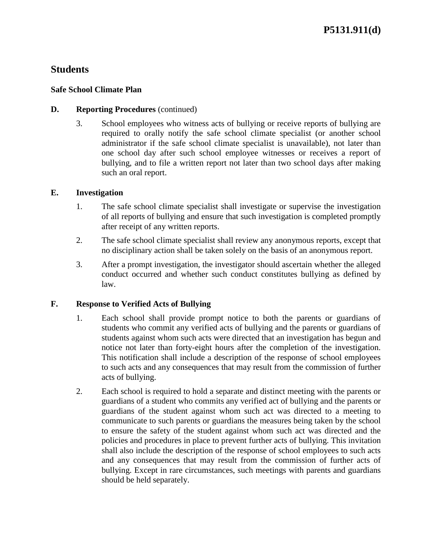## **Safe School Climate Plan**

## **D.** Reporting Procedures (continued)

 3. School employees who witness acts of bullying or receive reports of bullying are required to orally notify the safe school climate specialist (or another school administrator if the safe school climate specialist is unavailable), not later than one school day after such school employee witnesses or receives a report of bullying, and to file a written report not later than two school days after making such an oral report.

# **E. Investigation**

- 1. The safe school climate specialist shall investigate or supervise the investigation of all reports of bullying and ensure that such investigation is completed promptly after receipt of any written reports.
- 2. The safe school climate specialist shall review any anonymous reports, except that no disciplinary action shall be taken solely on the basis of an anonymous report.
- 3. After a prompt investigation, the investigator should ascertain whether the alleged conduct occurred and whether such conduct constitutes bullying as defined by law.

# **F. Response to Verified Acts of Bullying**

- 1. Each school shall provide prompt notice to both the parents or guardians of students who commit any verified acts of bullying and the parents or guardians of This notification shall include a description of the response of school employees to such acts and any consequences that may result from the commission of further students against whom such acts were directed that an investigation has begun and notice not later than forty-eight hours after the completion of the investigation. acts of bullying.
- guardians of the student against whom such act was directed to a meeting to communicate to such parents or guardians the measures being taken by the school to ensure the safety of the student against whom such act was directed and the shall also include the description of the response of school employees to such acts and any consequences that may result from the commission of further acts of 2. Each school is required to hold a separate and distinct meeting with the parents or guardians of a student who commits any verified act of bullying and the parents or policies and procedures in place to prevent further acts of bullying. This invitation bullying. Except in rare circumstances, such meetings with parents and guardians should be held separately.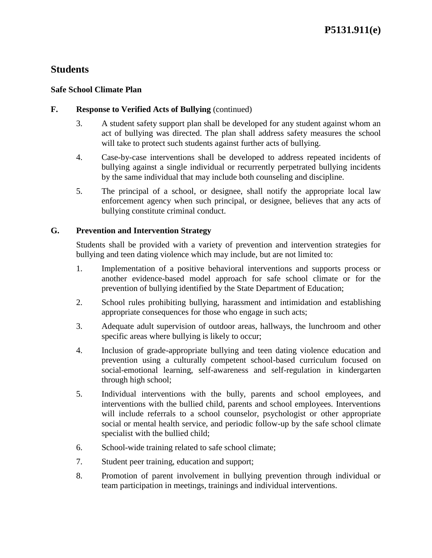## **Safe School Climate Plan**

## **F. Response to Verified Acts of Bullying** (continued)

- 3. A student safety support plan shall be developed for any student against whom an act of bullying was directed. The plan shall address safety measures the school will take to protect such students against further acts of bullying.
- 4. Case-by-case interventions shall be developed to address repeated incidents of bullying against a single individual or recurrently perpetrated bullying incidents by the same individual that may include both counseling and discipline.
- 5. The principal of a school, or designee, shall notify the appropriate local law enforcement agency when such principal, or designee, believes that any acts of bullying constitute criminal conduct.

# **G. Prevention and Intervention Strategy**

 Students shall be provided with a variety of prevention and intervention strategies for bullying and teen dating violence which may include, but are not limited to:

- 1. Implementation of a positive behavioral interventions and supports process or another evidence-based model approach for safe school climate or for the prevention of bullying identified by the State Department of Education;
- 2. School rules prohibiting bullying, harassment and intimidation and establishing appropriate consequences for those who engage in such acts;
- 3. Adequate adult supervision of outdoor areas, hallways, the lunchroom and other specific areas where bullying is likely to occur;
- 4. Inclusion of grade-appropriate bullying and teen dating violence education and prevention using a culturally competent school-based curriculum focused on social-emotional learning, self-awareness and self-regulation in kindergarten through high school;
- will include referrals to a school counselor, psychologist or other appropriate social or mental health service, and periodic follow-up by the safe school climate 5. Individual interventions with the bully, parents and school employees, and interventions with the bullied child, parents and school employees. Interventions specialist with the bullied child;
- 6. School-wide training related to safe school climate;
- 7. Student peer training, education and support;
- 8. Promotion of parent involvement in bullying prevention through individual or team participation in meetings, trainings and individual interventions.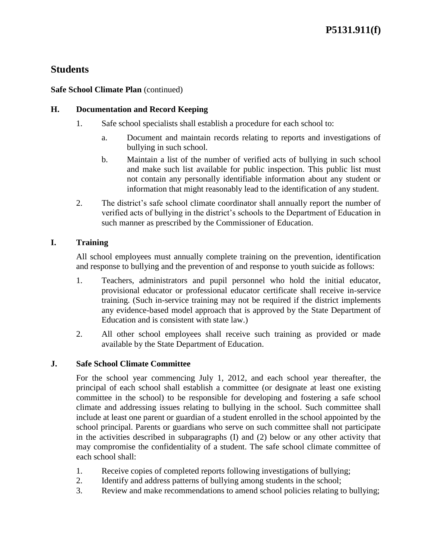#### **Safe School Climate Plan** (continued)

#### **H. Documentation and Record Keeping**

- 1. Safe school specialists shall establish a procedure for each school to:
	- a. Document and maintain records relating to reports and investigations of bullying in such school.
	- b. Maintain a list of the number of verified acts of bullying in such school and make such list available for public inspection. This public list must not contain any personally identifiable information about any student or information that might reasonably lead to the identification of any student.
- 2. The district's safe school climate coordinator shall annually report the number of verified acts of bullying in the district's schools to the Department of Education in such manner as prescribed by the Commissioner of Education.

# **I. Training**

All school employees must annually complete training on the prevention, identification and response to bullying and the prevention of and response to youth suicide as follows:

- 1. Teachers, administrators and pupil personnel who hold the initial educator, training. (Such in-service training may not be required if the district implements any evidence-based model approach that is approved by the State Department of provisional educator or professional educator certificate shall receive in-service Education and is consistent with state law.)
- 2. All other school employees shall receive such training as provided or made available by the State Department of Education.

## **J. Safe School Climate Committee**

 For the school year commencing July 1, 2012, and each school year thereafter, the principal of each school shall establish a committee (or designate at least one existing committee in the school) to be responsible for developing and fostering a safe school climate and addressing issues relating to bullying in the school. Such committee shall school principal. Parents or guardians who serve on such committee shall not participate in the activities described in subparagraphs (I) and (2) below or any other activity that may compromise the confidentiality of a student. The safe school climate committee of include at least one parent or guardian of a student enrolled in the school appointed by the each school shall:

- 1. Receive copies of completed reports following investigations of bullying;
- 2. Identify and address patterns of bullying among students in the school;
- 3. Review and make recommendations to amend school policies relating to bullying;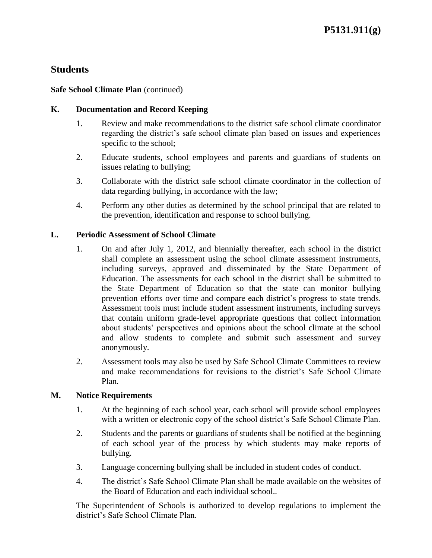#### **Safe School Climate Plan** (continued)

#### **K. Documentation and Record Keeping**

- 1. Review and make recommendations to the district safe school climate coordinator regarding the district's safe school climate plan based on issues and experiences specific to the school;
- 2. Educate students, school employees and parents and guardians of students on issues relating to bullying;
- 3. Collaborate with the district safe school climate coordinator in the collection of data regarding bullying, in accordance with the law;
- 4. Perform any other duties as determined by the school principal that are related to the prevention, identification and response to school bullying.

#### **L. Periodic Assessment of School Climate**

- including surveys, approved and disseminated by the State Department of Education. The assessments for each school in the district shall be submitted to the State Department of Education so that the state can monitor bullying Assessment tools must include student assessment instruments, including surveys about students' perspectives and opinions about the school climate at the school 1. On and after July 1, 2012, and biennially thereafter, each school in the district shall complete an assessment using the school climate assessment instruments, prevention efforts over time and compare each district's progress to state trends. that contain uniform grade-level appropriate questions that collect information and allow students to complete and submit such assessment and survey anonymously.
- 2. Assessment tools may also be used by Safe School Climate Committees to review and make recommendations for revisions to the district's Safe School Climate Plan.

#### **M. Notice Requirements**

- 1. At the beginning of each school year, each school will provide school employees with a written or electronic copy of the school district's Safe School Climate Plan.
- of each school year of the process by which students may make reports of 2. Students and the parents or guardians of students shall be notified at the beginning bullying.
- 3. Language concerning bullying shall be included in student codes of conduct.
- 4. The district's Safe School Climate Plan shall be made available on the websites of the Board of Education and each individual school..

The Superintendent of Schools is authorized to develop regulations to implement the district's Safe School Climate Plan.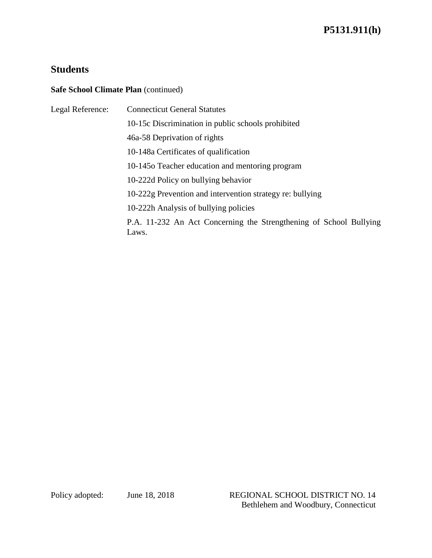## **Safe School Climate Plan** (continued)

| Legal Reference: | <b>Connecticut General Statutes</b>                                         |
|------------------|-----------------------------------------------------------------------------|
|                  | 10-15c Discrimination in public schools prohibited                          |
|                  | 46a-58 Deprivation of rights                                                |
|                  | 10-148a Certificates of qualification                                       |
|                  | 10-1450 Teacher education and mentoring program                             |
|                  | 10-222d Policy on bullying behavior                                         |
|                  | 10-222g Prevention and intervention strategy re: bullying                   |
|                  | 10-222h Analysis of bullying policies                                       |
|                  | P.A. 11-232 An Act Concerning the Strengthening of School Bullying<br>Laws. |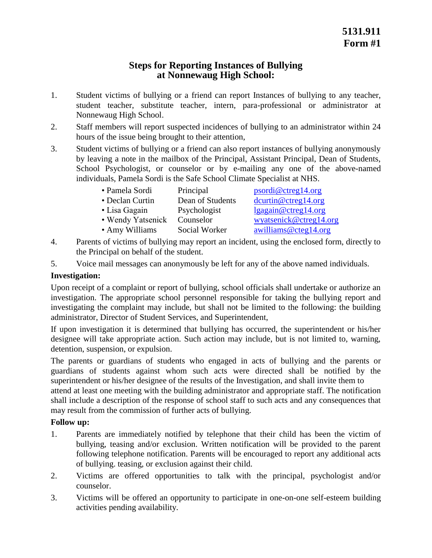# **Steps for Reporting Instances of Bullying at Nonnewaug High School:**

- 1. Student victims of bullying or a friend can report Instances of bullying to any teacher, student teacher, substitute teacher, intern, para-professional or administrator at Nonnewaug High School.
- 2. Staff members will report suspected incidences of bullying to an administrator within 24 hours of the issue being brought to their attention,
- 3. Student victims of bullying or a friend can also report instances of bullying anonymously by leaving a note in the mailbox of the Principal, Assistant Principal, Dean of Students, School Psychologist, or counselor or by e-mailing any one of the above-named individuals, Pamela Sordi is the Safe School Climate Specialist at NHS.

| • Pamela Sordi  | Principal        | psordi@ctreg14.org     |
|-----------------|------------------|------------------------|
| • Declan Curtin | Dean of Students | $d$ curtin@ctreg14.org |

- Lisa Gagain Psychologist lgagain@ctreg14.org • Wendy Yatsenick Counselor [wyatsenick@ctreg14.org](mailto:wyatsenick@ctreg14.org)
- 
- Amy Williams Social Worker awilliams@cteg14.org
- 4. Parents of victims of bullying may report an incident, using the enclosed form, directly to the Principal on behalf of the student.
- 5. Voice mail messages can anonymously be left for any of the above named individuals.

# **Investigation:**

 Upon receipt of a complaint or report of bullying, school officials shall undertake or authorize an investigation. The appropriate school personnel responsible for taking the bullying report and investigating the complaint may include, but shall not be limited to the following: the building administrator, Director of Student Services, and Superintendent,

 If upon investigation it is determined that bullying has occurred, the superintendent or his/her designee will take appropriate action. Such action may include, but is not limited to, warning, detention, suspension, or expulsion.

 guardians of students against whom such acts were directed shall be notified by the The parents or guardians of students who engaged in acts of bullying and the parents or superintendent or his/her designee of the results of the Investigation, and shall invite them to

 attend at least one meeting with the building administrator and appropriate staff. The notification shall include a description of the response of school staff to such acts and any consequences that may result from the commission of further acts of bullying.

- 1. Parents are immediately notified by telephone that their child has been the victim of bullying, teasing and/or exclusion. Written notification will be provided to the parent following telephone notification. Parents will be encouraged to report any additional acts of bullying. teasing, or exclusion against their child.
- 2. Victims are offered opportunities to talk with the principal, psychologist and/or counselor.
- 3. Victims will be offered an opportunity to participate in one-on-one self-esteem building activities pending availability.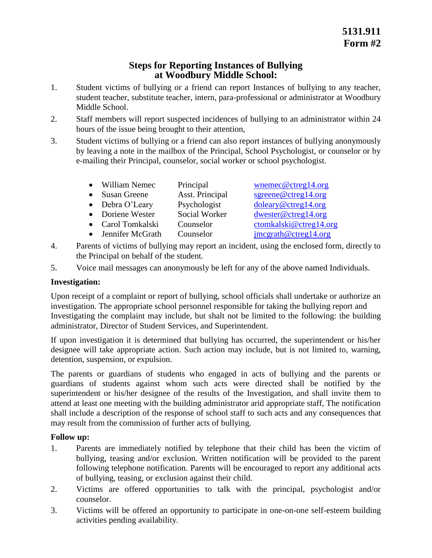# **Steps for Reporting Instances of Bullying at Woodbury Middle School:**

- 1. Student victims of bullying or a friend can report Instances of bullying to any teacher, student teacher, substitute teacher, intern, para-professional or administrator at Woodbury Middle School.
- 2. Staff members will report suspected incidences of bullying to an administrator within 24 hours of the issue being brought to their attention,
- 3. Student victims of bullying or a friend can also report instances of bullying anonymously by leaving a note in the mailbox of the Principal, School Psychologist, or counselor or by e-mailing their Principal, counselor, social worker or school psychologist.
	- William Nemec Principal wnemec@ctreg14.org
	- Susan Greene Asst. Principal sgreene@ctreg14.org
	- Debra O'Leary
	-
	-
	-
- 4. Parents of victims of bullying may report an incident, using the enclosed form, directly to the Principal on behalf of the student.
- 5. Voice mail messages can anonymously be left for any of the above named Individuals.

# **Investigation:**

 Upon receipt of a complaint or report of bullying, school officials shall undertake or authorize an Investigating the complaint may include, but shalt not be limited to the following: the building investigation. The appropriate school personnel responsible for taking the bullying report and administrator, Director of Student Services, and Superintendent.

 If upon investigation it is determined that bullying has occurred, the superintendent or his/her designee will take appropriate action. Such action may include, but is not limited to, warning, detention, suspension, or expulsion.

 guardians of students against whom such acts were directed shall be notified by the superintendent or his/her designee of the results of the Investigation, and shall invite them to attend at least one meeting with the building administrator arid appropriate staff, The notification shall include a description of the response of school staff to such acts and any consequences that The parents or guardians of students who engaged in acts of bullying and the parents or may result from the commission of further acts of bullying.

- 1. Parents are immediately notified by telephone that their child has been the victim of bullying, teasing and/or exclusion. Written notification will be provided to the parent following telephone notification. Parents will be encouraged to report any additional acts of bullying, teasing, or exclusion against their child.
- 2. Victims are offered opportunities to talk with the principal, psychologist and/or counselor.
- 3. Victims will be offered an opportunity to participate in one-on-one self-esteem building activities pending availability.
- Psychologist doleary@ctreg14.org • Doriene Wester Social Worker dwester@ctreg14.org
	-
- Carol Tomkalski Counselor ctomkalski@ctreg14.org • Jennifer McGrath Counselor imcgrath@ctreg14.org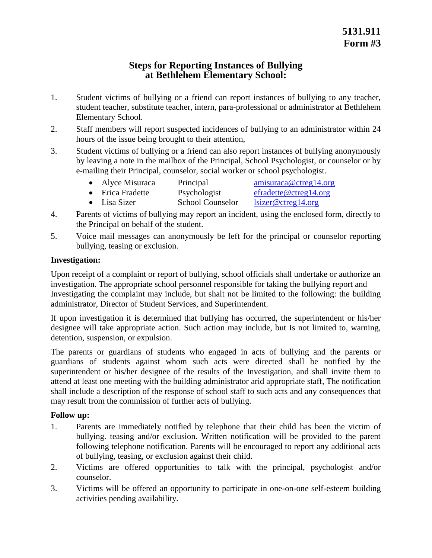# **Steps for Reporting Instances of Bullying at Bethlehem Elementary School:**

- 1. Student victims of bullying or a friend can report instances of bullying to any teacher, student teacher, substitute teacher, intern, para-professional or administrator at Bethlehem Elementary School.
- 2. Staff members will report suspected incidences of bullying to an administrator within 24 hours of the issue being brought to their attention,
- 3. Student victims of bullying or a friend can also report instances of bullying anonymously by leaving a note in the mailbox of the Principal, School Psychologist, or counselor or by e-mailing their Principal, counselor, social worker or school psychologist.
	- Alyce Misuraca Principal amisuraca@ctreg14.org
	- Erica Fradette Psychologist efradette@ctreg14.org
	- Lisa Sizer School Counselor lsizer@ctreg14.org
- 4. Parents of victims of bullying may report an incident, using the enclosed form, directly to the Principal on behalf of the student.
- 5. Voice mail messages can anonymously be left for the principal or counselor reporting bullying, teasing or exclusion.

# **Investigation:**

 Upon receipt of a complaint or report of bullying, school officials shall undertake or authorize an Investigating the complaint may include, but shalt not be limited to the following: the building investigation. The appropriate school personnel responsible for taking the bullying report and administrator, Director of Student Services, and Superintendent.

 If upon investigation it is determined that bullying has occurred, the superintendent or his/her designee will take appropriate action. Such action may include, but Is not limited to, warning, detention, suspension, or expulsion.

 guardians of students against whom such acts were directed shall be notified by the superintendent or his/her designee of the results of the Investigation, and shall invite them to attend at least one meeting with the building administrator arid appropriate staff, The notification shall include a description of the response of school staff to such acts and any consequences that The parents or guardians of students who engaged in acts of bullying and the parents or may result from the commission of further acts of bullying.

- 1. Parents are immediately notified by telephone that their child has been the victim of bullying. teasing and/or exclusion. Written notification will be provided to the parent following telephone notification. Parents will be encouraged to report any additional acts of bullying, teasing, or exclusion against their child.
- 2. Victims are offered opportunities to talk with the principal, psychologist and/or counselor.
- 3. Victims will be offered an opportunity to participate in one-on-one self-esteem building activities pending availability.

- 
-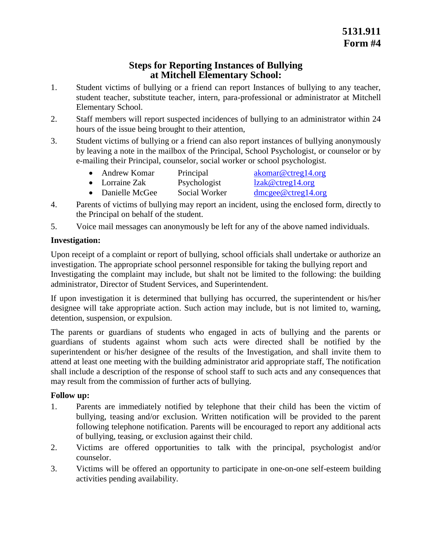# **Steps for Reporting Instances of Bullying at Mitchell Elementary School:**

- 1. Student victims of bullying or a friend can report Instances of bullying to any teacher, student teacher, substitute teacher, intern, para-professional or administrator at Mitchell Elementary School.
- 2. Staff members will report suspected incidences of bullying to an administrator within 24 hours of the issue being brought to their attention,
- 3. Student victims of bullying or a friend can also report instances of bullying anonymously by leaving a note in the mailbox of the Principal, School Psychologist, or counselor or by e-mailing their Principal, counselor, social worker or school psychologist.
	- Andrew Komar Principal akomar@ctreg14.org
	- Lorraine Zak Psychologist lzak@ctreg14.org
	- Danielle McGee Social Worker dmcgee@ctreg14.org
- 4. Parents of victims of bullying may report an incident, using the enclosed form, directly to the Principal on behalf of the student.
- 5. Voice mail messages can anonymously be left for any of the above named individuals.

# **Investigation:**

 Upon receipt of a complaint or report of bullying, school officials shall undertake or authorize an Investigating the complaint may include, but shalt not be limited to the following: the building investigation. The appropriate school personnel responsible for taking the bullying report and administrator, Director of Student Services, and Superintendent.

 If upon investigation it is determined that bullying has occurred, the superintendent or his/her designee will take appropriate action. Such action may include, but is not limited to, warning, detention, suspension, or expulsion.

 guardians of students against whom such acts were directed shall be notified by the superintendent or his/her designee of the results of the Investigation, and shall invite them to attend at least one meeting with the building administrator arid appropriate staff, The notification shall include a description of the response of school staff to such acts and any consequences that The parents or guardians of students who engaged in acts of bullying and the parents or may result from the commission of further acts of bullying.

- 1. Parents are immediately notified by telephone that their child has been the victim of bullying, teasing and/or exclusion. Written notification will be provided to the parent following telephone notification. Parents will be encouraged to report any additional acts of bullying, teasing, or exclusion against their child.
- 2. Victims are offered opportunities to talk with the principal, psychologist and/or counselor.
- 3. Victims will be offered an opportunity to participate in one-on-one self-esteem building activities pending availability.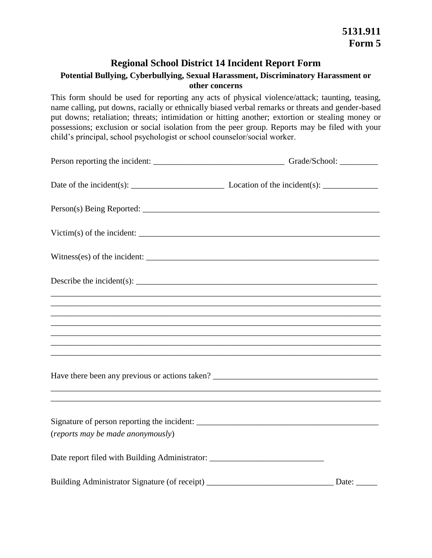# **Regional School District 14 Incident Report Form**

## **Potential Bullying, Cyberbullying, Sexual Harassment, Discriminatory Harassment or other concerns**

 This form should be used for reporting any acts of physical violence/attack; taunting, teasing, name calling, put downs, racially or ethnically biased verbal remarks or threats and gender-based put downs; retaliation; threats; intimidation or hitting another; extortion or stealing money or possessions; exclusion or social isolation from the peer group. Reports may be filed with your child's principal, school psychologist or school counselor/social worker.

| Victim(s) of the incident: $\frac{1}{\sqrt{1-\frac{1}{2}}\sqrt{1-\frac{1}{2}}\sqrt{1-\frac{1}{2}}\sqrt{1-\frac{1}{2}}\sqrt{1-\frac{1}{2}}\sqrt{1-\frac{1}{2}}\sqrt{1-\frac{1}{2}}\sqrt{1-\frac{1}{2}}\sqrt{1-\frac{1}{2}}\sqrt{1-\frac{1}{2}}\sqrt{1-\frac{1}{2}}\sqrt{1-\frac{1}{2}}\sqrt{1-\frac{1}{2}}\sqrt{1-\frac{1}{2}}\sqrt{1-\frac{1}{2}}\sqrt{1-\frac{1}{2}}\sqrt{1-\frac{1}{2}}\$ |              |
|---------------------------------------------------------------------------------------------------------------------------------------------------------------------------------------------------------------------------------------------------------------------------------------------------------------------------------------------------------------------------------------------|--------------|
|                                                                                                                                                                                                                                                                                                                                                                                             |              |
|                                                                                                                                                                                                                                                                                                                                                                                             |              |
| ,我们也不会有什么。""我们的人,我们也不会有什么?""我们的人,我们也不会有什么?""我们的人,我们也不会有什么?""我们的人,我们也不会有什么?""我们的人                                                                                                                                                                                                                                                                                                            |              |
| ,我们也不会有什么。""我们的人,我们也不会有什么?""我们的人,我们也不会有什么?""我们的人,我们也不会有什么?""我们的人,我们也不会有什么?""我们的人                                                                                                                                                                                                                                                                                                            |              |
| ,我们也不会有什么。""我们的人,我们也不会有什么?""我们的人,我们也不会有什么?""我们的人,我们也不会有什么?""我们的人,我们也不会有什么?""我们的人                                                                                                                                                                                                                                                                                                            |              |
|                                                                                                                                                                                                                                                                                                                                                                                             |              |
|                                                                                                                                                                                                                                                                                                                                                                                             |              |
| (reports may be made anonymously)                                                                                                                                                                                                                                                                                                                                                           |              |
| Date report filed with Building Administrator: _________________________________                                                                                                                                                                                                                                                                                                            |              |
| Building Administrator Signature (of receipt) __________________________________                                                                                                                                                                                                                                                                                                            | Date: $\_\_$ |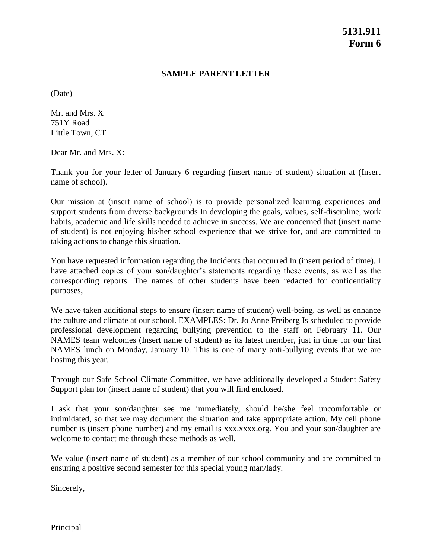#### **SAMPLE PARENT LETTER**

(Date)

Mr. and Mrs. X 751Y Road Little Town, CT

Dear Mr. and Mrs. X:

 Thank you for your letter of January 6 regarding (insert name of student) situation at (Insert name of school).

 habits, academic and life skills needed to achieve in success. We are concerned that (insert name of student) is not enjoying his/her school experience that we strive for, and are committed to Our mission at (insert name of school) is to provide personalized learning experiences and support students from diverse backgrounds In developing the goals, values, self-discipline, work taking actions to change this situation.

 have attached copies of your son/daughter's statements regarding these events, as well as the You have requested information regarding the Incidents that occurred In (insert period of time). I corresponding reports. The names of other students have been redacted for confidentiality purposes,

 We have taken additional steps to ensure (insert name of student) well-being, as well as enhance the culture and climate at our school. EXAMPLES: Dr. Jo Anne Freiberg Is scheduled to provide NAMES team welcomes (Insert name of student) as its latest member, just in time for our first NAMES lunch on Monday, January 10. This is one of many anti-bullying events that we are professional development regarding bullying prevention to the staff on February 11. Our hosting this year.

 Through our Safe School Climate Committee, we have additionally developed a Student Safety Support plan for (insert name of student) that you will find enclosed.

 I ask that your son/daughter see me immediately, should he/she feel uncomfortable or intimidated, so that we may document the situation and take appropriate action. My cell phone number is (insert phone number) and my email is [xxx.xxxx.org.](https://xxx.xxxx.org) You and your son/daughter are welcome to contact me through these methods as well.

 We value (insert name of student) as a member of our school community and are committed to ensuring a positive second semester for this special young man/lady.

Sincerely,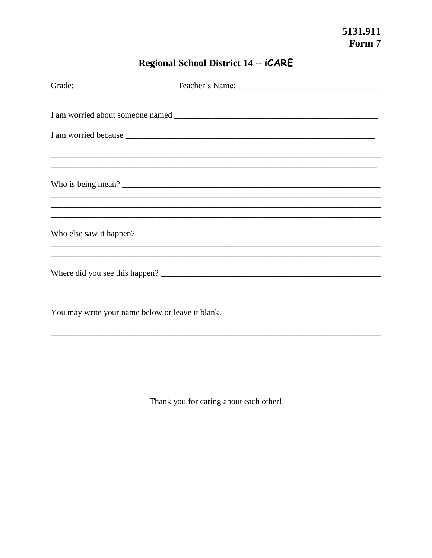# Regional School District 14 -- iCARE

| Grade: $\qquad \qquad$                           |                                                                                   |
|--------------------------------------------------|-----------------------------------------------------------------------------------|
|                                                  |                                                                                   |
|                                                  |                                                                                   |
|                                                  |                                                                                   |
|                                                  | Who is being mean?                                                                |
|                                                  | ,我们也不能在这里的时候,我们也不能在这里的时候,我们也不能会在这里,我们也不能会不能会不能会不能会不能会不能会不能会。""我们的是我们的,我们也不能会不能会不  |
|                                                  | ,我们也不能在这里的时候,我们也不能在这里的时候,我们也不能会在这里的时候,我们也不能会在这里的时候,我们也不能会在这里的时候,我们也不能会在这里的时候,我们也不 |
|                                                  | ,我们也不能在这里的时候,我们也不能在这里的时候,我们也不能会在这里,我们也不能会不能会不能会不能会不能会不能会不能会。""我们的是我们的,我们也不能会不能会不  |
|                                                  | ,我们也不能在这里的时候,我们也不能在这里的时候,我们也不能会在这里的时候,我们也不能会在这里的时候,我们也不能会在这里的时候,我们也不能会在这里的时候,我们也不 |
| You may write your name below or leave it blank. |                                                                                   |

Thank you for caring about each other!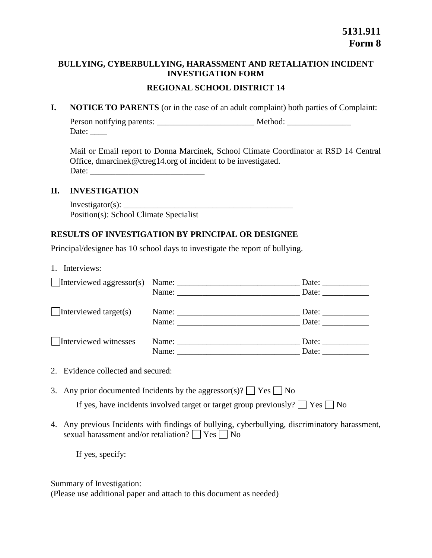# **BULLYING, CYBERBULLYING, HARASSMENT AND RETALIATION INCIDENT INVESTIGATION FORM REGIONAL SCHOOL DISTRICT 14**

**I. NOTICE TO PARENTS** (or in the case of an adult complaint) both parties of Complaint:

| Person notifying parents: | Method: |  |
|---------------------------|---------|--|
| Date:                     |         |  |

 Mail or Email report to Donna Marcinek, School Climate Coordinator at RSD 14 Central Office, [dmarcinek@ctreg14.org](mailto:dmarcinek@ctreg14.org) of incident to be investigated. Date: \_\_\_\_\_\_\_\_\_\_\_\_\_\_\_\_\_\_\_\_\_\_\_\_\_\_\_

#### **II. INVESTIGATION**

Investigator(s):  $\overline{\phantom{a}}$ Position(s): School Climate Specialist

# **RESULTS OF INVESTIGATION BY PRINCIPAL OR DESIGNEE**

Principal/designee has 10 school days to investigate the report of bullying.

1. Interviews:

| $\Box$ Interviewed aggressor(s) |                                                                                                                                                                                                                                                                                                                                                                                                               | Date:                 |
|---------------------------------|---------------------------------------------------------------------------------------------------------------------------------------------------------------------------------------------------------------------------------------------------------------------------------------------------------------------------------------------------------------------------------------------------------------|-----------------------|
|                                 | Name: Name and the set of the set of the set of the set of the set of the set of the set of the set of the set of the set of the set of the set of the set of the set of the set of the set of the set of the set of the set o                                                                                                                                                                                | Date: $\qquad \qquad$ |
| $\Box$ Interviewed target(s)    | Name: $\frac{1}{\sqrt{1-\frac{1}{2}}\sqrt{1-\frac{1}{2}}\sqrt{1-\frac{1}{2}}\sqrt{1-\frac{1}{2}}\sqrt{1-\frac{1}{2}}\sqrt{1-\frac{1}{2}}\sqrt{1-\frac{1}{2}}\sqrt{1-\frac{1}{2}}\sqrt{1-\frac{1}{2}}\sqrt{1-\frac{1}{2}}\sqrt{1-\frac{1}{2}}\sqrt{1-\frac{1}{2}}\sqrt{1-\frac{1}{2}}\sqrt{1-\frac{1}{2}}\sqrt{1-\frac{1}{2}}\sqrt{1-\frac{1}{2}}\sqrt{1-\frac{1}{2}}\sqrt{1-\frac{1}{2}}\sqrt{1-\frac{1}{2}}$ | Date: $\qquad \qquad$ |
|                                 | Name:                                                                                                                                                                                                                                                                                                                                                                                                         | Date:                 |
| Interviewed witnesses           | Name: Name and the same of the same of the same of the same of the same of the same of the same of the same of the same of the same of the same of the same of the same of the same of the same of the same of the same of the                                                                                                                                                                                | Date:                 |
|                                 | Name:                                                                                                                                                                                                                                                                                                                                                                                                         | Date:                 |

- 2. Evidence collected and secured:
- 3. Any prior documented Incidents by the aggressor(s)?  $\Box$  Yes  $\Box$  No If yes, have incidents involved target or target group previously?  $\Box$  Yes  $\Box$  No
- 4. Any previous Incidents with findings of bullying, cyberbullying, discriminatory harassment, sexual harassment and/or retaliation?  $\Box$  Yes  $\Box$  No

If yes, specify:

Summary of Investigation:

(Please use additional paper and attach to this document as needed)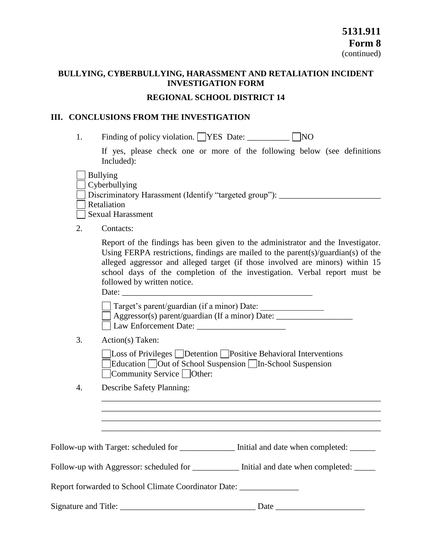## **BULLYING, CYBERBULLYING, HARASSMENT AND RETALIATION INCIDENT INVESTIGATION FORM**

#### **REGIONAL SCHOOL DISTRICT 14**

#### **III. CONCLUSIONS FROM THE INVESTIGATION**

1. Finding of policy violation.  $\Box$ YES Date:  $\Box$  NO

 If yes, please check one or more of the following below (see definitions Included):

Bullying

 $\Box$  Bunying<br> $\Box$  Cyberbullying

□ Cyberbunying<br>□ Discriminatory Harassment (Identify "targeted group"): \_\_\_\_\_\_\_\_\_\_\_\_\_\_\_\_\_\_\_\_\_\_\_

□ Discriminat  $\Box$   $\mathbf{v}$ 

□ Sexual Harassment

2. Contacts:

 Using FERPA restrictions, findings are mailed to the parent(s)/guardian(s) of the alleged aggressor and alleged target (if those involved are minors) within 15 school days of the completion of the investigation. Verbal report must be Report of the findings has been given to the administrator and the Investigator. followed by written notice. Date:  $\qquad \qquad \qquad$ 

Target's parent/guardian (if a minor) Date:

 $\Box$  I arget s parent/guardian (If a minor) Date:  $\Box$ ∟дд<br>⊟т □ Law Enforcement Date: \_\_\_\_\_\_\_\_\_\_\_\_\_\_\_\_\_\_\_\_\_

3. Action(s) Taken:

□ USS OF TIVIESS □ Detention □ I Ositive Behavioral Intervention<br>□ Education □ Out of School Suspension □ In-School Suspension<br>□ Community Service □ Other:  $\square^{\text{cu}}_{\text{c}}$ Community Service  $\Box$  Other: Loss of Privileges Detention Positive Behavioral Interventions

\_\_\_\_\_\_\_\_\_\_\_\_\_\_\_\_\_\_\_\_\_\_\_\_\_\_\_\_\_\_\_\_\_\_\_\_\_\_\_\_\_\_\_\_\_\_\_\_\_\_\_\_\_\_\_\_\_\_\_\_\_\_\_\_\_\_ \_\_\_\_\_\_\_\_\_\_\_\_\_\_\_\_\_\_\_\_\_\_\_\_\_\_\_\_\_\_\_\_\_\_\_\_\_\_\_\_\_\_\_\_\_\_\_\_\_\_\_\_\_\_\_\_\_\_\_\_\_\_\_\_\_\_ \_\_\_\_\_\_\_\_\_\_\_\_\_\_\_\_\_\_\_\_\_\_\_\_\_\_\_\_\_\_\_\_\_\_\_\_\_\_\_\_\_\_\_\_\_\_\_\_\_\_\_\_\_\_\_\_\_\_\_\_\_\_\_\_\_\_ \_\_\_\_\_\_\_\_\_\_\_\_\_\_\_\_\_\_\_\_\_\_\_\_\_\_\_\_\_\_\_\_\_\_\_\_\_\_\_\_\_\_\_\_\_\_\_\_\_\_\_\_\_\_\_\_\_\_\_\_\_\_\_\_\_\_

4. Describe Safety Planning:

Follow-up with Target: scheduled for \_\_\_\_\_\_\_\_\_\_\_\_\_\_\_\_\_\_ Initial and date when completed: \_\_\_\_\_\_\_\_\_\_

Follow-up with Aggressor: scheduled for \_\_\_\_\_\_\_\_\_\_\_\_\_ Initial and date when completed: \_\_\_\_\_\_

Report forwarded to School Climate Coordinator Date:

Signature and Title: \_\_\_\_\_\_\_\_\_\_\_\_\_\_\_\_\_\_\_\_\_\_\_\_\_\_\_\_\_\_\_\_ Date \_\_\_\_\_\_\_\_\_\_\_\_\_\_\_\_\_\_\_\_\_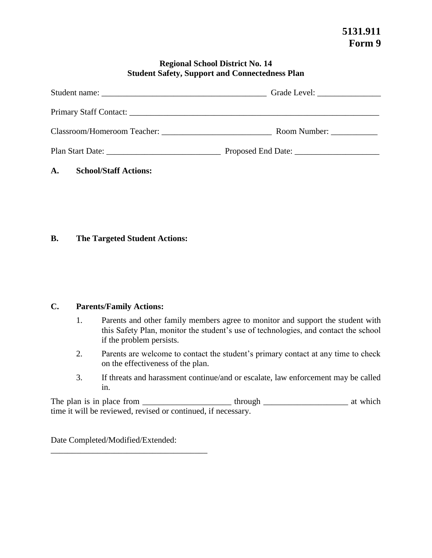#### **Regional School District No. 14 Student Safety, Support and Connectedness Plan**

|                             | Grade Level: __________________                                                    |
|-----------------------------|------------------------------------------------------------------------------------|
|                             |                                                                                    |
| Classroom/Homeroom Teacher: | Room Number: $\frac{1}{\sqrt{1-\frac{1}{2}} \cdot \frac{1}{\sqrt{1-\frac{1}{2}}}}$ |
|                             |                                                                                    |

## **A. School/Staff Actions:**

#### **B. The Targeted Student Actions:**

#### **C. Parents/Family Actions:**

- 1. Parents and other family members agree to monitor and support the student with this Safety Plan, monitor the student's use of technologies, and contact the school if the problem persists.
- 2. Parents are welcome to contact the student's primary contact at any time to check on the effectiveness of the plan.
- 3. If threats and harassment continue/and or escalate, law enforcement may be called in.

 The plan is in place from \_\_\_\_\_\_\_\_\_\_\_\_\_\_\_\_\_\_\_\_\_ through \_\_\_\_\_\_\_\_\_\_\_\_\_\_\_\_\_\_\_\_ at which time it will be reviewed, revised or continued, if necessary.

Date Completed/Modified/Extended:

\_\_\_\_\_\_\_\_\_\_\_\_\_\_\_\_\_\_\_\_\_\_\_\_\_\_\_\_\_\_\_\_\_\_\_\_\_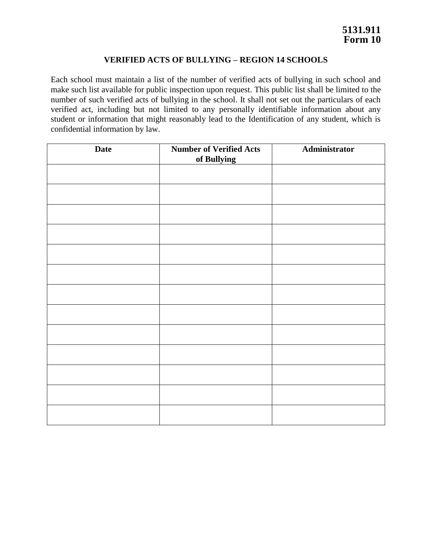#### **VERIFIED ACTS OF BULLYING – REGION 14 SCHOOLS**

 Each school must maintain a list of the number of verified acts of bullying in such school and make such list available for public inspection upon request. This public list shall be limited to the number of such verified acts of bullying in the school. It shall not set out the particulars of each verified act, including but not limited to any personally identifiable information about any student or information that might reasonably lead to the Identification of any student, which is confidential information by law.

| <b>Date</b> | <b>Number of Verified Acts</b><br>of Bullying | Administrator |
|-------------|-----------------------------------------------|---------------|
|             |                                               |               |
|             |                                               |               |
|             |                                               |               |
|             |                                               |               |
|             |                                               |               |
|             |                                               |               |
|             |                                               |               |
|             |                                               |               |
|             |                                               |               |
|             |                                               |               |
|             |                                               |               |
|             |                                               |               |
|             |                                               |               |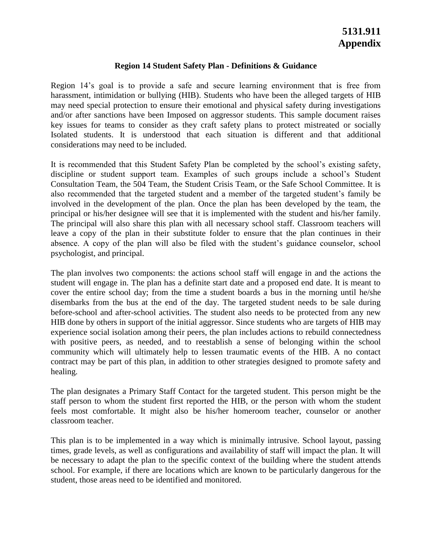#### **Region 14 Student Safety Plan - Definitions & Guidance**

 Region 14's goal is to provide a safe and secure learning environment that is free from may need special protection to ensure their emotional and physical safety during investigations and/or after sanctions have been Imposed on aggressor students. This sample document raises key issues for teams to consider as they craft safety plans to protect mistreated or socially harassment, intimidation or bullying (HIB). Students who have been the alleged targets of HIB Isolated students. It is understood that each situation is different and that additional considerations may need to be included.

 It is recommended that this Student Safety Plan be completed by the school's existing safety, discipline or student support team. Examples of such groups include a school's Student Consultation Team, the 504 Team, the Student Crisis Team, or the Safe School Committee. It is also recommended that the targeted student and a member of the targeted student's family be involved in the development of the plan. Once the plan has been developed by the team, the principal or his/her designee will see that it is implemented with the student and his/her family. The principal will also share this plan with all necessary school staff. Classroom teachers will leave a copy of the plan in their substitute folder to ensure that the plan continues in their absence. A copy of the plan will also be filed with the student's guidance counselor, school psychologist, and principal.

 The plan involves two components: the actions school staff will engage in and the actions the student will engage in. The plan has a definite start date and a proposed end date. It is meant to cover the entire school day; from the time a student boards a bus in the morning until he/she disembarks from the bus at the end of the day. The targeted student needs to be sale during before-school and after-school activities. The student also needs to be protected from any new with positive peers, as needed, and to reestablish a sense of belonging within the school community which will ultimately help to lessen traumatic events of the HIB. A no contact contract may be part of this plan, in addition to other strategies designed to promote safety and HIB done by others in support of the initial aggressor. Since students who are targets of HIB may experience social isolation among their peers, the plan includes actions to rebuild connectedness healing.

 The plan designates a Primary Staff Contact for the targeted student. This person might be the staff person to whom the student first reported the HIB, or the person with whom the student feels most comfortable. It might also be his/her homeroom teacher, counselor or another classroom teacher.

 This plan is to be implemented in a way which is minimally intrusive. School layout, passing times, grade levels, as well as configurations and availability of staff will impact the plan. It will be necessary to adapt the plan to the specific context of the building where the student attends school. For example, if there are locations which are known to be particularly dangerous for the student, those areas need to be identified and monitored.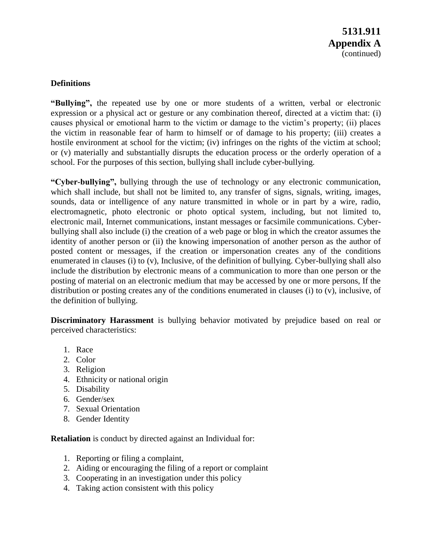## **Definitions**

 **"Bullying",** the repeated use by one or more students of a written, verbal or electronic expression or a physical act or gesture or any combination thereof, directed at a victim that: (i) causes physical or emotional harm to the victim or damage to the victim's property; (ii) places the victim in reasonable fear of harm to himself or of damage to his property; (iii) creates a hostile environment at school for the victim; (iv) infringes on the rights of the victim at school; or (v) materially and substantially disrupts the education process or the orderly operation of a school. For the purposes of this section, bullying shall include cyber-bullying.

 **"Cyber-bullying",** bullying through the use of technology or any electronic communication, which shall include, but shall not be limited to, any transfer of signs, signals, writing, images, sounds, data or intelligence of any nature transmitted in whole or in part by a wire, radio, bullying shall also include (i) the creation of a web page or blog in which the creator assumes the identity of another person or (ii) the knowing impersonation of another person as the author of posted content or messages, if the creation or impersonation creates any of the conditions enumerated in clauses (i) to (v), Inclusive, of the definition of bullying. Cyber-bullying shall also include the distribution by electronic means of a communication to more than one person or the posting of material on an electronic medium that may be accessed by one or more persons, If the distribution or posting creates any of the conditions enumerated in clauses (i) to (v), inclusive, of electromagnetic, photo electronic or photo optical system, including, but not limited to, electronic mail, Internet communications, instant messages or facsimile communications. Cyberthe definition of bullying.

 **Discriminatory Harassment** is bullying behavior motivated by prejudice based on real or perceived characteristics:

- 1. Race
- 2. Color
- 3. Religion
- 4. Ethnicity or national origin
- 5. Disability
- 6. Gender/sex
- 7. Sexual Orientation
- 8. Gender Identity

**Retaliation** is conduct by directed against an Individual for:

- 1. Reporting or filing a complaint,
- 2. Aiding or encouraging the filing of a report or complaint
- 3. Cooperating in an investigation under this policy
- 4. Taking action consistent with this policy